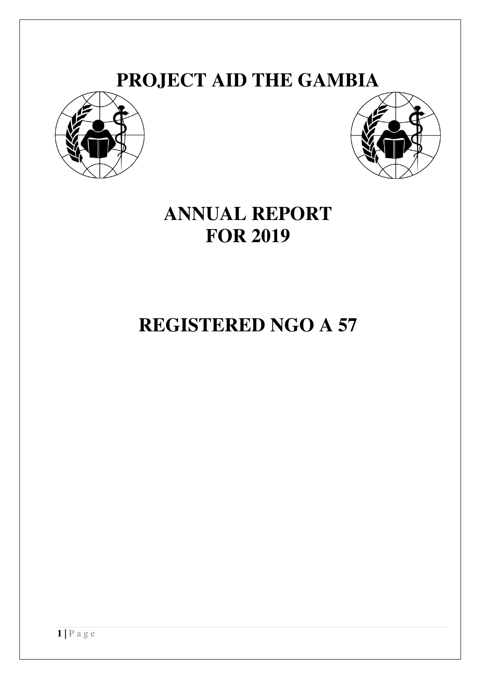# **PROJECT AID THE GAMBIA**





# **ANNUAL REPORT FOR 2019**

# **REGISTERED NGO A 57**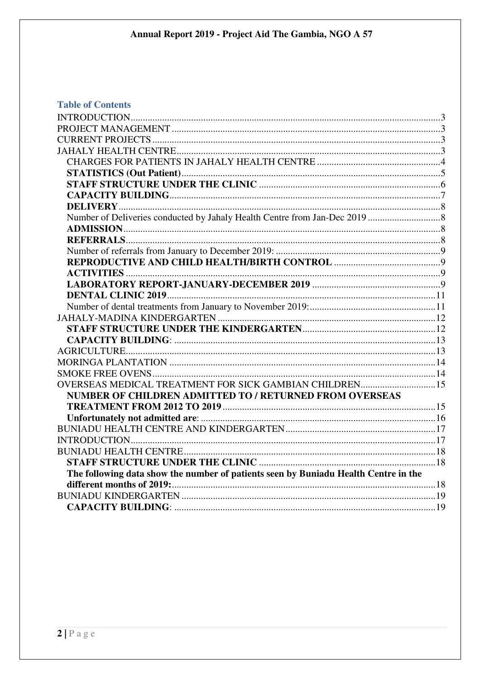# **Table of Contents**

| OVERSEAS MEDICAL TREATMENT FOR SICK GAMBIAN CHILDREN15                              |  |
|-------------------------------------------------------------------------------------|--|
| NUMBER OF CHILDREN ADMITTED TO / RETURNED FROM OVERSEAS                             |  |
|                                                                                     |  |
|                                                                                     |  |
|                                                                                     |  |
|                                                                                     |  |
|                                                                                     |  |
|                                                                                     |  |
| The following data show the number of patients seen by Buniadu Health Centre in the |  |
|                                                                                     |  |
|                                                                                     |  |
|                                                                                     |  |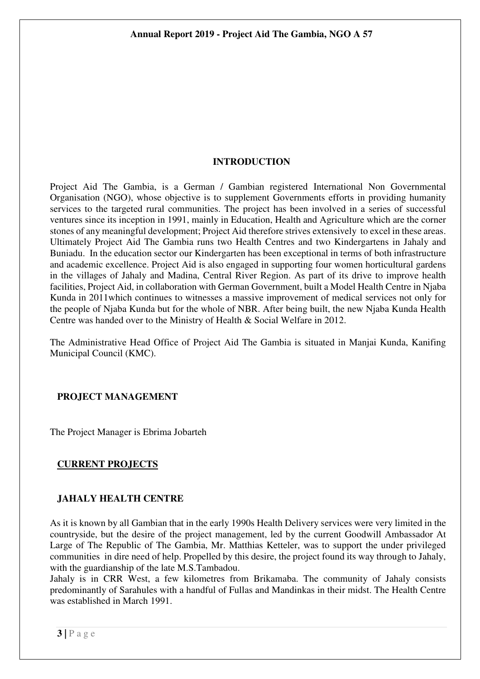## **INTRODUCTION**

Project Aid The Gambia, is a German / Gambian registered International Non Governmental Organisation (NGO), whose objective is to supplement Governments efforts in providing humanity services to the targeted rural communities. The project has been involved in a series of successful ventures since its inception in 1991, mainly in Education, Health and Agriculture which are the corner stones of any meaningful development; Project Aid therefore strives extensively to excel in these areas. Ultimately Project Aid The Gambia runs two Health Centres and two Kindergartens in Jahaly and Buniadu. In the education sector our Kindergarten has been exceptional in terms of both infrastructure and academic excellence. Project Aid is also engaged in supporting four women horticultural gardens in the villages of Jahaly and Madina, Central River Region. As part of its drive to improve health facilities, Project Aid, in collaboration with German Government, built a Model Health Centre in Njaba Kunda in 2011which continues to witnesses a massive improvement of medical services not only for the people of Njaba Kunda but for the whole of NBR. After being built, the new Njaba Kunda Health Centre was handed over to the Ministry of Health & Social Welfare in 2012.

The Administrative Head Office of Project Aid The Gambia is situated in Manjai Kunda, Kanifing Municipal Council (KMC).

## **PROJECT MANAGEMENT**

The Project Manager is Ebrima Jobarteh

## **CURRENT PROJECTS**

## **JAHALY HEALTH CENTRE**

As it is known by all Gambian that in the early 1990s Health Delivery services were very limited in the countryside, but the desire of the project management, led by the current Goodwill Ambassador At Large of The Republic of The Gambia, Mr. Matthias Ketteler, was to support the under privileged communities in dire need of help. Propelled by this desire, the project found its way through to Jahaly, with the guardianship of the late M.S.Tambadou.

Jahaly is in CRR West, a few kilometres from Brikamaba. The community of Jahaly consists predominantly of Sarahules with a handful of Fullas and Mandinkas in their midst. The Health Centre was established in March 1991.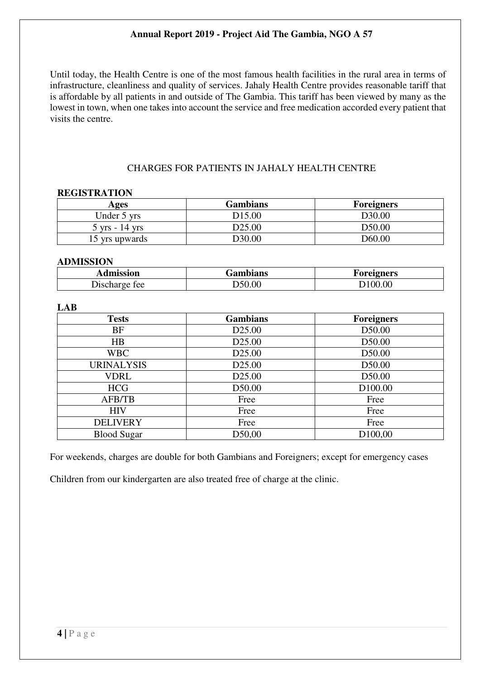Until today, the Health Centre is one of the most famous health facilities in the rural area in terms of infrastructure, cleanliness and quality of services. Jahaly Health Centre provides reasonable tariff that is affordable by all patients in and outside of The Gambia. This tariff has been viewed by many as the lowest in town, when one takes into account the service and free medication accorded every patient that visits the centre.

## CHARGES FOR PATIENTS IN JAHALY HEALTH CENTRE

#### **REGISTRATION**

| Ages             | <b>Gambians</b>    | <b>Foreigners</b>  |
|------------------|--------------------|--------------------|
| Under 5 yrs      | D <sub>15.00</sub> | D <sub>30.00</sub> |
| $5$ yrs - 14 yrs | D <sub>25.00</sub> | D <sub>50.00</sub> |
| 15 yrs upwards   | D30.00             | D60.00             |

## **ADMISSION**

| Imiccion<br>шізмон        | Gambians | 2 J 13            |  |
|---------------------------|----------|-------------------|--|
| -00<br>11 <b>u</b><br>___ | .00      | $\Omega$ $\Omega$ |  |

### **LAB**

| <b>Tests</b>       | <b>Gambians</b>    | <b>Foreigners</b>   |
|--------------------|--------------------|---------------------|
| <b>BF</b>          | D <sub>25.00</sub> | D50.00              |
| HB                 | D <sub>25.00</sub> | D50.00              |
| <b>WBC</b>         | D <sub>25.00</sub> | D50.00              |
| <b>URINALYSIS</b>  | D <sub>25.00</sub> | D50.00              |
| <b>VDRL</b>        | D <sub>25.00</sub> | D50.00              |
| <b>HCG</b>         | D50.00             | D <sub>100.00</sub> |
| AFB/TB             | Free               | Free                |
| <b>HIV</b>         | Free               | Free                |
| <b>DELIVERY</b>    | Free               | Free                |
| <b>Blood Sugar</b> | D50,00             | D <sub>100,00</sub> |

For weekends, charges are double for both Gambians and Foreigners; except for emergency cases

Children from our kindergarten are also treated free of charge at the clinic.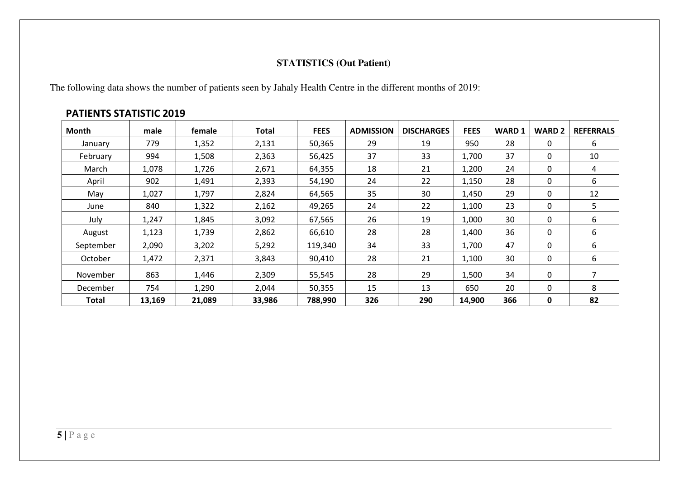## **STATISTICS (Out Patient)**

The following data shows the number of patients seen by Jahaly Health Centre in the different months of 2019:

# **Month male female Total FEES ADMISSIONDISCHARGES FEES WARD 1 WARD 2 REFERRALS**<br>19 950 28 0 6 January | 779 | 1,352 | 2,131 | 50,365 | 29 | 19 | 950 | 28 | 0 | 6 February | 994 | 1,508 | 2,363 | 56,425 | 37 | 33 | 1,700 | 37 | 0 | 10 March | 1,078 | 1,726 | 2,671 | 64,355 | 18 | 21 |1,200 | 24 | 0 | 4 April | 902 | 1,491 | 2,393 | 54,190 | 24 | 22 |1,150 | 28 | 0 | 6 May | 1,027 | 1,797 | 2,824 | 64,565 | 35 | 30 | 1,450 | 29 | 0 | 12 June | 840 | 1,322 | 2,162 | 49,265 | 24 | 22 |1,100 | 23 | 0 | 5 July | 1,247 | 1,845 | 3,092 | 67,565 | 26 | 19 |1,000 | 30 | 0 | 6 August | 1,123 | 1,739 | 2,862 | 66,610 | 28 | 28 | 1,400 | 36 | 0 | 6 September | 2,090 | 3,202 | 5,292 | 119,340 | 34 | 33 | 1,700 | 47 | 0 | 6 October | 1,472 | 2,371 | 3,843 | 90,410 | 28 | 21 |1,100 | 30 | 0 | 6 November | 863 | 1,446 | 2,309 | 55,545 | 28 | 29 |1,500 | 34 | 0 | 7 December | 754 | 1,290 | 2,044 | 50,355 | 15 | 13 | 650 | 20 | 0 | 8 **Total 13,169 21,089 33,986 788,990 326 290 14,900 366 0 82**

#### **PATIENTS STATISTIC 2019**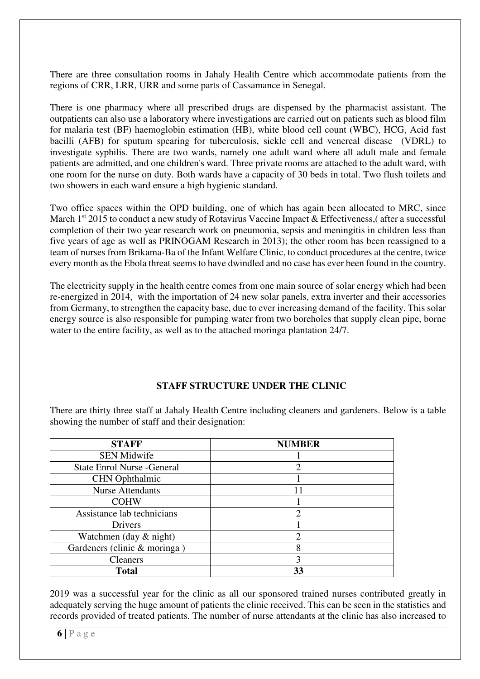There are three consultation rooms in Jahaly Health Centre which accommodate patients from the regions of CRR, LRR, URR and some parts of Cassamance in Senegal.

There is one pharmacy where all prescribed drugs are dispensed by the pharmacist assistant. The outpatients can also use a laboratory where investigations are carried out on patients such as blood film for malaria test (BF) haemoglobin estimation (HB), white blood cell count (WBC), HCG, Acid fast bacilli (AFB) for sputum spearing for tuberculosis, sickle cell and venereal disease (VDRL) to investigate syphilis. There are two wards, namely one adult ward where all adult male and female patients are admitted, and one children's ward. Three private rooms are attached to the adult ward, with one room for the nurse on duty. Both wards have a capacity of 30 beds in total. Two flush toilets and two showers in each ward ensure a high hygienic standard.

Two office spaces within the OPD building, one of which has again been allocated to MRC, since March  $1<sup>st</sup>$  2015 to conduct a new study of Rotavirus Vaccine Impact & Effectiveness, after a successful completion of their two year research work on pneumonia, sepsis and meningitis in children less than five years of age as well as PRINOGAM Research in 2013); the other room has been reassigned to a team of nurses from Brikama-Ba of the Infant Welfare Clinic, to conduct procedures at the centre, twice every month as the Ebola threat seems to have dwindled and no case has ever been found in the country.

The electricity supply in the health centre comes from one main source of solar energy which had been re-energized in 2014, with the importation of 24 new solar panels, extra inverter and their accessories from Germany, to strengthen the capacity base, due to ever increasing demand of the facility. This solar energy source is also responsible for pumping water from two boreholes that supply clean pipe, borne water to the entire facility, as well as to the attached moringa plantation 24/7.

## **STAFF STRUCTURE UNDER THE CLINIC**

There are thirty three staff at Jahaly Health Centre including cleaners and gardeners. Below is a table showing the number of staff and their designation:

| <b>STAFF</b>                       | <b>NUMBER</b> |  |  |  |  |
|------------------------------------|---------------|--|--|--|--|
| <b>SEN Midwife</b>                 |               |  |  |  |  |
| <b>State Enrol Nurse - General</b> | 2             |  |  |  |  |
| <b>CHN</b> Ophthalmic              |               |  |  |  |  |
| <b>Nurse Attendants</b>            | 11            |  |  |  |  |
| <b>COHW</b>                        |               |  |  |  |  |
| Assistance lab technicians         | 2             |  |  |  |  |
| Drivers                            |               |  |  |  |  |
| Watchmen (day & night)             | າ             |  |  |  |  |
| Gardeners (clinic & moringa)       | 8             |  |  |  |  |
| <b>Cleaners</b>                    | 3             |  |  |  |  |
| <b>Total</b>                       | 33            |  |  |  |  |

2019 was a successful year for the clinic as all our sponsored trained nurses contributed greatly in adequately serving the huge amount of patients the clinic received. This can be seen in the statistics and records provided of treated patients. The number of nurse attendants at the clinic has also increased to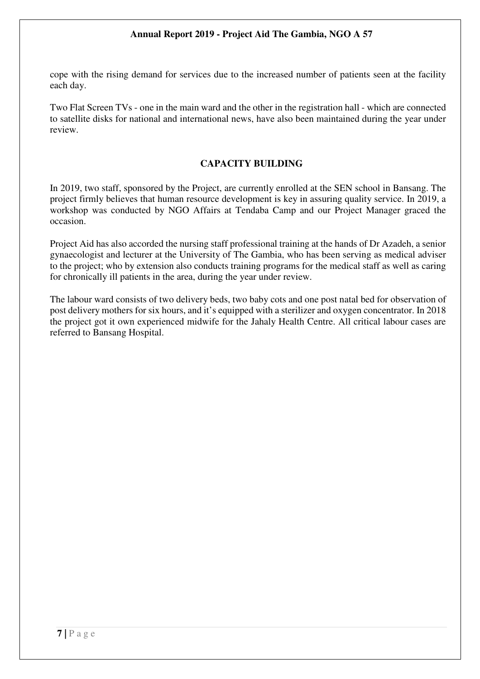cope with the rising demand for services due to the increased number of patients seen at the facility each day.

Two Flat Screen TVs - one in the main ward and the other in the registration hall - which are connected to satellite disks for national and international news, have also been maintained during the year under review.

## **CAPACITY BUILDING**

In 2019, two staff, sponsored by the Project, are currently enrolled at the SEN school in Bansang. The project firmly believes that human resource development is key in assuring quality service. In 2019, a workshop was conducted by NGO Affairs at Tendaba Camp and our Project Manager graced the occasion.

Project Aid has also accorded the nursing staff professional training at the hands of Dr Azadeh, a senior gynaecologist and lecturer at the University of The Gambia, who has been serving as medical adviser to the project; who by extension also conducts training programs for the medical staff as well as caring for chronically ill patients in the area, during the year under review.

The labour ward consists of two delivery beds, two baby cots and one post natal bed for observation of post delivery mothers for six hours, and it's equipped with a sterilizer and oxygen concentrator. In 2018 the project got it own experienced midwife for the Jahaly Health Centre. All critical labour cases are referred to Bansang Hospital.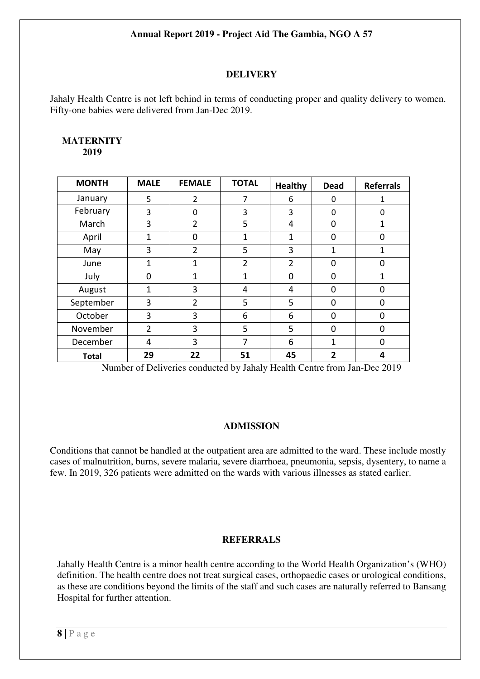## **DELIVERY**

Jahaly Health Centre is not left behind in terms of conducting proper and quality delivery to women. Fifty-one babies were delivered from Jan-Dec 2019.

#### **MATERNITY 2019**

| <b>MONTH</b> | <b>MALE</b>    | <b>FEMALE</b>  | <b>TOTAL</b>   | <b>Healthy</b> | <b>Dead</b>    | <b>Referrals</b> |
|--------------|----------------|----------------|----------------|----------------|----------------|------------------|
| January      | 5              | $\overline{2}$ | 7              | 6              | 0              |                  |
| February     | 3              | $\Omega$       | 3              | 3              | 0              | 0                |
| March        | 3              | $\overline{2}$ | 5              | 4              | 0              | 1                |
| April        | 1              | 0              | 1              | 1              | 0              | n                |
| May          | 3              | $\overline{2}$ | 5              | 3              | 1              | 1                |
| June         | 1              | 1              | $\overline{2}$ | $\overline{2}$ | 0              | 0                |
| July         | $\Omega$       | 1              | 1              | $\Omega$       | $\Omega$       | 1                |
| August       | 1              | 3              | 4              | 4              | 0              | O                |
| September    | 3              | $\overline{2}$ | 5              | 5              | 0              | 0                |
| October      | 3              | 3              | 6              | 6              | 0              | ი                |
| November     | $\overline{2}$ | 3              | 5              | 5              | $\Omega$       | 0                |
| December     | 4              | 3              | 7              | 6              | 1              | N                |
| Total        | 29             | 22             | 51             | 45             | $\overline{2}$ | 4                |

Number of Deliveries conducted by Jahaly Health Centre from Jan-Dec 2019

#### **ADMISSION**

Conditions that cannot be handled at the outpatient area are admitted to the ward. These include mostly cases of malnutrition, burns, severe malaria, severe diarrhoea, pneumonia, sepsis, dysentery, to name a few. In 2019, 326 patients were admitted on the wards with various illnesses as stated earlier.

## **REFERRALS**

Jahally Health Centre is a minor health centre according to the World Health Organization's (WHO) definition. The health centre does not treat surgical cases, orthopaedic cases or urological conditions, as these are conditions beyond the limits of the staff and such cases are naturally referred to Bansang Hospital for further attention.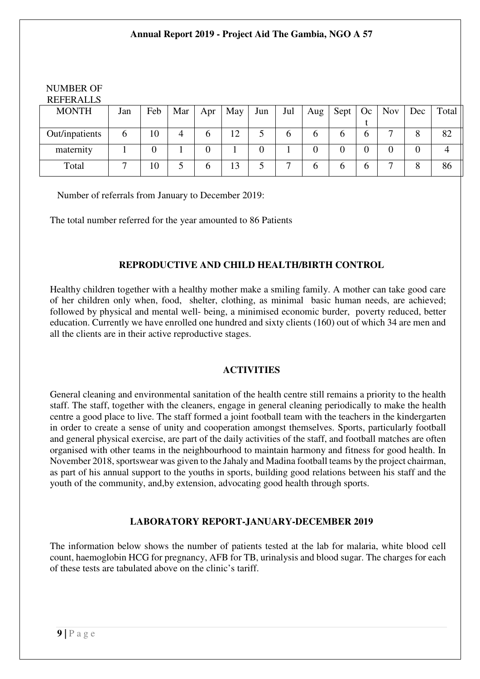| <b>NUMBER OF</b> |     |                |     |          |     |          |     |     |                |               |            |     |       |
|------------------|-----|----------------|-----|----------|-----|----------|-----|-----|----------------|---------------|------------|-----|-------|
| <b>REFERALLS</b> |     |                |     |          |     |          |     |     |                |               |            |     |       |
| <b>MONTH</b>     | Jan | Feb            | Mar | Apr      | May | Jun      | Jul | Aug | Sept           | Oc            | <b>Nov</b> | Dec | Total |
|                  |     |                |     |          |     |          |     |     |                |               |            |     |       |
| Out/inpatients   | 6   | 10             | 4   | $\sigma$ | 12  |          | 6   | b   | b              | $\mathfrak b$ |            |     | 82    |
| maternity        |     | $\overline{0}$ |     |          |     | $\Omega$ |     |     | $\overline{0}$ |               | 0          |     | 4     |
| Total            | −   | 10             |     | $\sigma$ | 13  |          | ⇁   | b   | b              | $\mathfrak b$ | ⇁          |     | 86    |

Number of referrals from January to December 2019:

The total number referred for the year amounted to 86 Patients

## **REPRODUCTIVE AND CHILD HEALTH/BIRTH CONTROL**

Healthy children together with a healthy mother make a smiling family. A mother can take good care of her children only when, food, shelter, clothing, as minimal basic human needs, are achieved; followed by physical and mental well- being, a minimised economic burder, poverty reduced, better education. Currently we have enrolled one hundred and sixty clients (160) out of which 34 are men and all the clients are in their active reproductive stages.

#### **ACTIVITIES**

General cleaning and environmental sanitation of the health centre still remains a priority to the health staff. The staff, together with the cleaners, engage in general cleaning periodically to make the health centre a good place to live. The staff formed a joint football team with the teachers in the kindergarten in order to create a sense of unity and cooperation amongst themselves. Sports, particularly football and general physical exercise, are part of the daily activities of the staff, and football matches are often organised with other teams in the neighbourhood to maintain harmony and fitness for good health. In November 2018, sportswear was given to the Jahaly and Madina football teams by the project chairman, as part of his annual support to the youths in sports, building good relations between his staff and the youth of the community, and,by extension, advocating good health through sports.

## **LABORATORY REPORT-JANUARY-DECEMBER 2019**

The information below shows the number of patients tested at the lab for malaria, white blood cell count, haemoglobin HCG for pregnancy, AFB for TB, urinalysis and blood sugar. The charges for each of these tests are tabulated above on the clinic's tariff.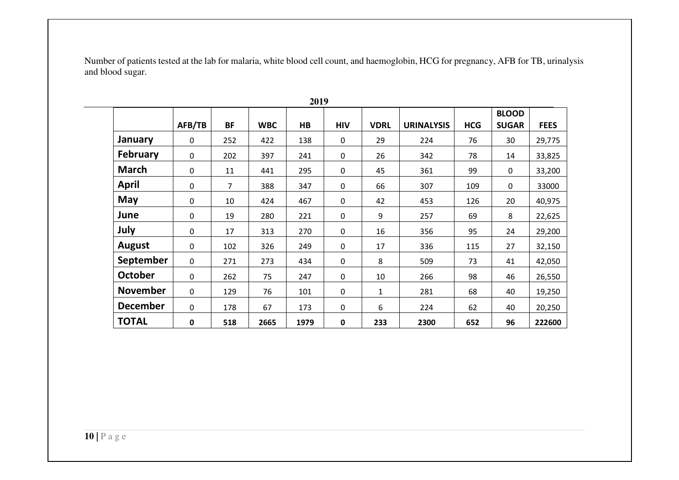Number of patients tested at the lab for malaria, white blood cell count, and haemoglobin, HCG for pregnancy, AFB for TB, urinalysis and blood sugar.

|                 |             |                |            |      |            |             |                   |            | <b>BLOOD</b> |             |
|-----------------|-------------|----------------|------------|------|------------|-------------|-------------------|------------|--------------|-------------|
|                 | AFB/TB      | <b>BF</b>      | <b>WBC</b> | HB   | <b>HIV</b> | <b>VDRL</b> | <b>URINALYSIS</b> | <b>HCG</b> | <b>SUGAR</b> | <b>FEES</b> |
| <b>January</b>  | 0           | 252            | 422        | 138  | 0          | 29          | 224               | 76         | 30           | 29,775      |
| February        | 0           | 202            | 397        | 241  | 0          | 26          | 342               | 78         | 14           | 33,825      |
| <b>March</b>    | 0           | 11             | 441        | 295  | 0          | 45          | 361               | 99         | 0            | 33,200      |
| <b>April</b>    | 0           | $\overline{7}$ | 388        | 347  | 0          | 66          | 307               | 109        | 0            | 33000       |
| May             | 0           | 10             | 424        | 467  | 0          | 42          | 453               | 126        | 20           | 40,975      |
| June            | 0           | 19             | 280        | 221  | $\pmb{0}$  | 9           | 257               | 69         | 8            | 22,625      |
| July            | $\Omega$    | 17             | 313        | 270  | 0          | 16          | 356               | 95         | 24           | 29,200      |
| <b>August</b>   | $\pmb{0}$   | 102            | 326        | 249  | $\pmb{0}$  | 17          | 336               | 115        | 27           | 32,150      |
| September       | $\mathbf 0$ | 271            | 273        | 434  | 0          | 8           | 509               | 73         | 41           | 42,050      |
| <b>October</b>  | $\mathbf 0$ | 262            | 75         | 247  | 0          | 10          | 266               | 98         | 46           | 26,550      |
| <b>November</b> | $\mathbf 0$ | 129            | 76         | 101  | 0          | 1           | 281               | 68         | 40           | 19,250      |
| <b>December</b> | $\mathbf 0$ | 178            | 67         | 173  | 0          | 6           | 224               | 62         | 40           | 20,250      |
| <b>TOTAL</b>    | 0           | 518            | 2665       | 1979 | 0          | 233         | 2300              | 652        | 96           | 222600      |

**2019**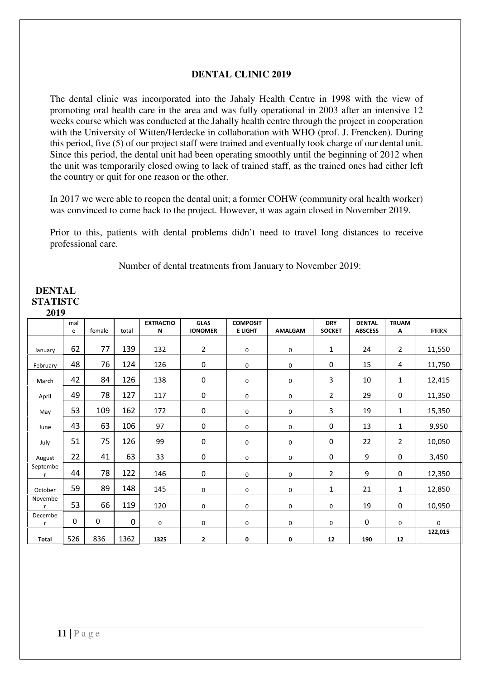#### **DENTAL CLINIC 2019**

The dental clinic was incorporated into the Jahaly Health Centre in 1998 with the view of promoting oral health care in the area and was fully operational in 2003 after an intensive 12 weeks course which was conducted at the Jahally health centre through the project in cooperation with the University of Witten/Herdecke in collaboration with WHO (prof. J. Frencken). During this period, five (5) of our project staff were trained and eventually took charge of our dental unit. Since this period, the dental unit had been operating smoothly until the beginning of 2012 when the unit was temporarily closed owing to lack of trained staff, as the trained ones had either left the country or quit for one reason or the other.

In 2017 we were able to reopen the dental unit; a former COHW (community oral health worker) was convinced to come back to the project. However, it was again closed in November 2019.

Prior to this, patients with dental problems didn't need to travel long distances to receive professional care.

Number of dental treatments from January to November 2019:

#### **DENTAL STATISTC 2019**

|                          | mal<br>e | female | total       | <b>EXTRACTIO</b><br>N | <b>GLAS</b><br><b>IONOMER</b> | <b>COMPOSIT</b><br><b>E LIGHT</b> | <b>AMALGAM</b> | <b>DRY</b><br><b>SOCKET</b> | <b>DENTAL</b><br><b>ABSCESS</b> | <b>TRUAM</b><br>Α | <b>FEES</b>  |
|--------------------------|----------|--------|-------------|-----------------------|-------------------------------|-----------------------------------|----------------|-----------------------------|---------------------------------|-------------------|--------------|
| January                  | 62       | 77     | 139         | 132                   | $\overline{2}$                | $\mathbf 0$                       | 0              | $\mathbf{1}$                | 24                              | $\overline{2}$    | 11,550       |
| February                 | 48       | 76     | 124         | 126                   | $\pmb{0}$                     | 0                                 | 0              | $\pmb{0}$                   | 15                              | 4                 | 11,750       |
| March                    | 42       | 84     | 126         | 138                   | $\pmb{0}$                     | 0                                 | 0              | 3                           | 10                              | 1                 | 12,415       |
| April                    | 49       | 78     | 127         | 117                   | $\pmb{0}$                     | 0                                 | 0              | $\overline{2}$              | 29                              | 0                 | 11,350       |
| May                      | 53       | 109    | 162         | 172                   | $\pmb{0}$                     | 0                                 | 0              | 3                           | 19                              | 1                 | 15,350       |
| June                     | 43       | 63     | 106         | 97                    | $\pmb{0}$                     | 0                                 | 0              | 0                           | 13                              | 1                 | 9,950        |
| July                     | 51       | 75     | 126         | 99                    | $\pmb{0}$                     | 0                                 | 0              | 0                           | 22                              | 2                 | 10,050       |
| August                   | 22       | 41     | 63          | 33                    | $\pmb{0}$                     | 0                                 | 0              | $\pmb{0}$                   | 9                               | 0                 | 3,450        |
| Septembe<br>$\mathsf{r}$ | 44       | 78     | 122         | 146                   | $\pmb{0}$                     | 0                                 | $\mathbf 0$    | $\overline{2}$              | 9                               | 0                 | 12,350       |
| October                  | 59       | 89     | 148         | 145                   | 0                             | 0                                 | 0              | 1                           | 21                              | 1                 | 12,850       |
| Novembe<br>$\mathsf{r}$  | 53       | 66     | 119         | 120                   | 0                             | 0                                 | 0              | 0                           | 19                              | 0                 | 10,950       |
| Decembe<br>$\mathsf{r}$  | 0        | 0      | $\mathbf 0$ | $\mathbf 0$           | 0                             | 0                                 | 0              | 0                           | $\pmb{0}$                       | 0                 | $\mathsf{O}$ |
| Total                    | 526      | 836    | 1362        | 1325                  | $\mathbf{2}$                  | 0                                 | 0              | 12                          | 190                             | 12                | 122,015      |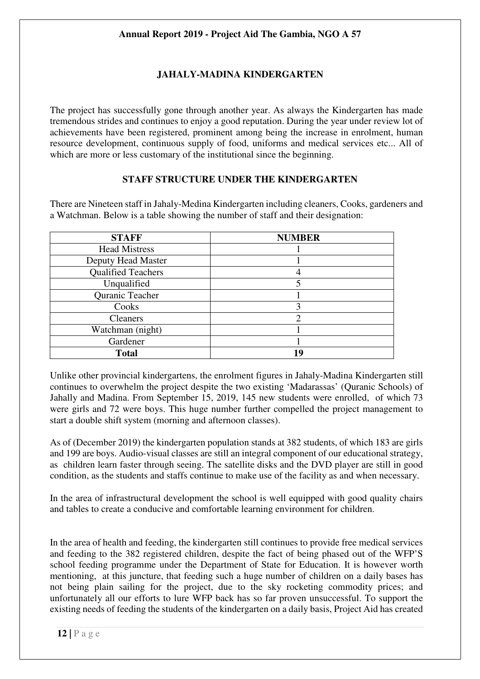# **JAHALY-MADINA KINDERGARTEN**

The project has successfully gone through another year. As always the Kindergarten has made tremendous strides and continues to enjoy a good reputation. During the year under review lot of achievements have been registered, prominent among being the increase in enrolment, human resource development, continuous supply of food, uniforms and medical services etc... All of which are more or less customary of the institutional since the beginning.

## **STAFF STRUCTURE UNDER THE KINDERGARTEN**

There are Nineteen staff in Jahaly-Medina Kindergarten including cleaners, Cooks, gardeners and a Watchman. Below is a table showing the number of staff and their designation:

| <b>STAFF</b>              | <b>NUMBER</b> |  |  |  |  |
|---------------------------|---------------|--|--|--|--|
| <b>Head Mistress</b>      |               |  |  |  |  |
| Deputy Head Master        |               |  |  |  |  |
| <b>Qualified Teachers</b> |               |  |  |  |  |
| Unqualified               |               |  |  |  |  |
| Quranic Teacher           |               |  |  |  |  |
| Cooks                     |               |  |  |  |  |
| <b>Cleaners</b>           | റ             |  |  |  |  |
| Watchman (night)          |               |  |  |  |  |
| Gardener                  |               |  |  |  |  |
| <b>Total</b>              | 19            |  |  |  |  |

Unlike other provincial kindergartens, the enrolment figures in Jahaly-Madina Kindergarten still continues to overwhelm the project despite the two existing 'Madarassas' (Quranic Schools) of Jahally and Madina. From September 15, 2019, 145 new students were enrolled, of which 73 were girls and 72 were boys. This huge number further compelled the project management to start a double shift system (morning and afternoon classes).

As of (December 2019) the kindergarten population stands at 382 students, of which 183 are girls and 199 are boys. Audio-visual classes are still an integral component of our educational strategy, as children learn faster through seeing. The satellite disks and the DVD player are still in good condition, as the students and staffs continue to make use of the facility as and when necessary.

In the area of infrastructural development the school is well equipped with good quality chairs and tables to create a conducive and comfortable learning environment for children.

In the area of health and feeding, the kindergarten still continues to provide free medical services and feeding to the 382 registered children, despite the fact of being phased out of the WFP'S school feeding programme under the Department of State for Education. It is however worth mentioning, at this juncture, that feeding such a huge number of children on a daily bases has not being plain sailing for the project, due to the sky rocketing commodity prices; and unfortunately all our efforts to lure WFP back has so far proven unsuccessful. To support the existing needs of feeding the students of the kindergarten on a daily basis, Project Aid has created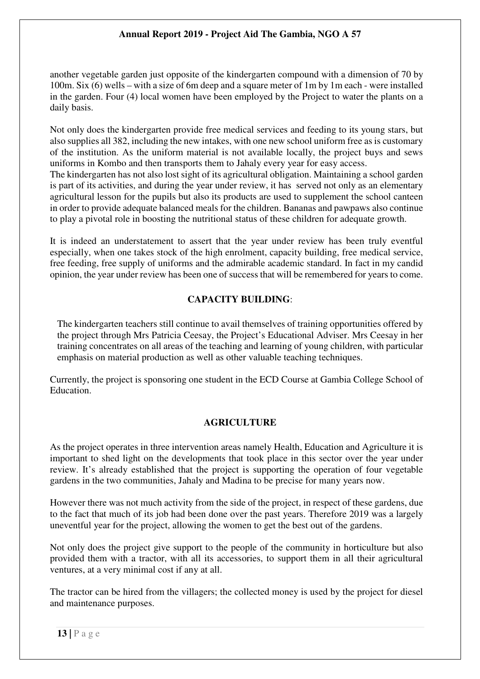another vegetable garden just opposite of the kindergarten compound with a dimension of 70 by 100m. Six (6) wells – with a size of 6m deep and a square meter of 1m by 1m each - were installed in the garden. Four (4) local women have been employed by the Project to water the plants on a daily basis.

Not only does the kindergarten provide free medical services and feeding to its young stars, but also supplies all 382, including the new intakes, with one new school uniform free as is customary of the institution. As the uniform material is not available locally, the project buys and sews uniforms in Kombo and then transports them to Jahaly every year for easy access.

The kindergarten has not also lost sight of its agricultural obligation. Maintaining a school garden is part of its activities, and during the year under review, it has served not only as an elementary agricultural lesson for the pupils but also its products are used to supplement the school canteen in order to provide adequate balanced meals for the children. Bananas and pawpaws also continue to play a pivotal role in boosting the nutritional status of these children for adequate growth.

It is indeed an understatement to assert that the year under review has been truly eventful especially, when one takes stock of the high enrolment, capacity building, free medical service, free feeding, free supply of uniforms and the admirable academic standard. In fact in my candid opinion, the year under review has been one of success that will be remembered for years to come.

## **CAPACITY BUILDING**:

The kindergarten teachers still continue to avail themselves of training opportunities offered by the project through Mrs Patricia Ceesay, the Project's Educational Adviser. Mrs Ceesay in her training concentrates on all areas of the teaching and learning of young children, with particular emphasis on material production as well as other valuable teaching techniques.

Currently, the project is sponsoring one student in the ECD Course at Gambia College School of Education.

#### **AGRICULTURE**

As the project operates in three intervention areas namely Health, Education and Agriculture it is important to shed light on the developments that took place in this sector over the year under review. It's already established that the project is supporting the operation of four vegetable gardens in the two communities, Jahaly and Madina to be precise for many years now.

However there was not much activity from the side of the project, in respect of these gardens, due to the fact that much of its job had been done over the past years. Therefore 2019 was a largely uneventful year for the project, allowing the women to get the best out of the gardens.

Not only does the project give support to the people of the community in horticulture but also provided them with a tractor, with all its accessories, to support them in all their agricultural ventures, at a very minimal cost if any at all.

The tractor can be hired from the villagers; the collected money is used by the project for diesel and maintenance purposes.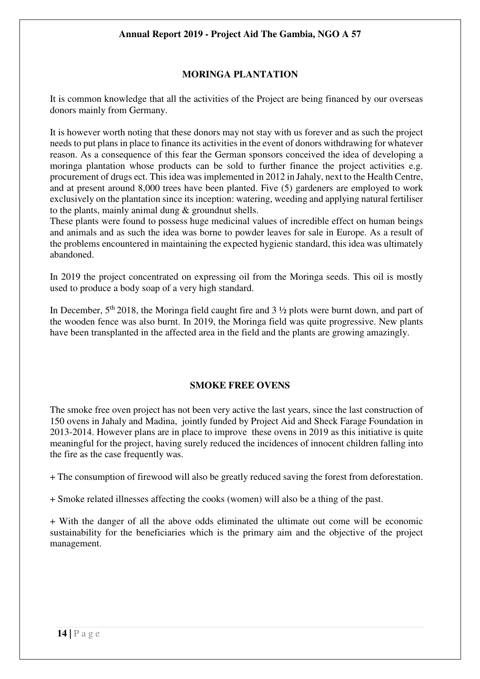## **MORINGA PLANTATION**

It is common knowledge that all the activities of the Project are being financed by our overseas donors mainly from Germany.

It is however worth noting that these donors may not stay with us forever and as such the project needs to put plans in place to finance its activities in the event of donors withdrawing for whatever reason. As a consequence of this fear the German sponsors conceived the idea of developing a moringa plantation whose products can be sold to further finance the project activities e.g. procurement of drugs ect. This idea was implemented in 2012 in Jahaly, next to the Health Centre, and at present around 8,000 trees have been planted. Five (5) gardeners are employed to work exclusively on the plantation since its inception: watering, weeding and applying natural fertiliser to the plants, mainly animal dung & groundnut shells.

These plants were found to possess huge medicinal values of incredible effect on human beings and animals and as such the idea was borne to powder leaves for sale in Europe. As a result of the problems encountered in maintaining the expected hygienic standard, this idea was ultimately abandoned.

In 2019 the project concentrated on expressing oil from the Moringa seeds. This oil is mostly used to produce a body soap of a very high standard.

In December,  $5<sup>th</sup> 2018$ , the Moringa field caught fire and 3  $\frac{1}{2}$  plots were burnt down, and part of the wooden fence was also burnt. In 2019, the Moringa field was quite progressive. New plants have been transplanted in the affected area in the field and the plants are growing amazingly.

## **SMOKE FREE OVENS**

The smoke free oven project has not been very active the last years, since the last construction of 150 ovens in Jahaly and Madina, jointly funded by Project Aid and Sheck Farage Foundation in 2013-2014. However plans are in place to improve these ovens in 2019 as this initiative is quite meaningful for the project, having surely reduced the incidences of innocent children falling into the fire as the case frequently was.

+ The consumption of firewood will also be greatly reduced saving the forest from deforestation.

+ Smoke related illnesses affecting the cooks (women) will also be a thing of the past.

+ With the danger of all the above odds eliminated the ultimate out come will be economic sustainability for the beneficiaries which is the primary aim and the objective of the project management.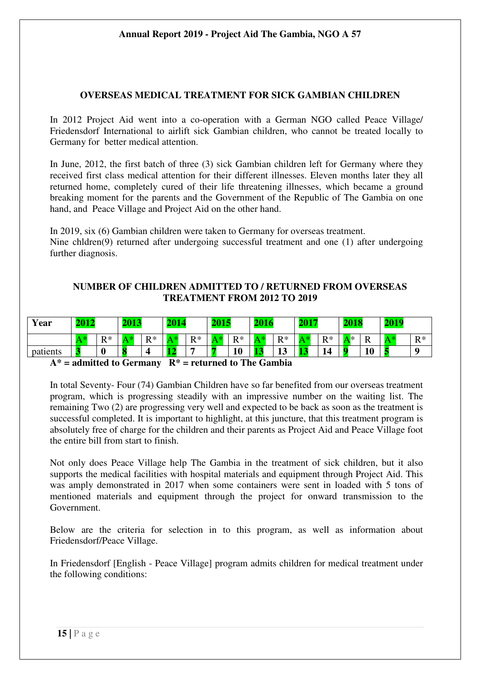#### **OVERSEAS MEDICAL TREATMENT FOR SICK GAMBIAN CHILDREN**

In 2012 Project Aid went into a co-operation with a German NGO called Peace Village/ Friedensdorf International to airlift sick Gambian children, who cannot be treated locally to Germany for better medical attention.

In June, 2012, the first batch of three (3) sick Gambian children left for Germany where they received first class medical attention for their different illnesses. Eleven months later they all returned home, completely cured of their life threatening illnesses, which became a ground breaking moment for the parents and the Government of the Republic of The Gambia on one hand, and Peace Village and Project Aid on the other hand.

In 2019, six (6) Gambian children were taken to Germany for overseas treatment. Nine chldren(9) returned after undergoing successful treatment and one (1) after undergoing further diagnosis.

## **NUMBER OF CHILDREN ADMITTED TO / RETURNED FROM OVERSEAS TREATMENT FROM 2012 TO 2019**

| Year     | 2012<br>- - |       | 2012<br>40 L.J |       | 201 |                      | 2015<br><u> TULU</u> |                     | 2016 |              | AA           |          | 2018 |         | 2019 |       |
|----------|-------------|-------|----------------|-------|-----|----------------------|----------------------|---------------------|------|--------------|--------------|----------|------|---------|------|-------|
|          |             | $R^*$ |                | $R^*$ |     | $\mathbf{D} *$<br>17 | A                    | $\mathbf{p} *$<br>v |      | $R^*$        |              | D*<br>1x | \ *  | $\bf R$ |      | $R^*$ |
| patients |             | U     |                |       | - 7 | -                    |                      | 10                  | ю    | $\sim$<br>πJ | <b>SALES</b> | 14       | n    | 10      |      |       |

#### **A\* = admitted to Germany R\* = returned to The Gambia**

In total Seventy- Four (74) Gambian Children have so far benefited from our overseas treatment program, which is progressing steadily with an impressive number on the waiting list. The remaining Two (2) are progressing very well and expected to be back as soon as the treatment is successful completed. It is important to highlight, at this juncture, that this treatment program is absolutely free of charge for the children and their parents as Project Aid and Peace Village foot the entire bill from start to finish.

Not only does Peace Village help The Gambia in the treatment of sick children, but it also supports the medical facilities with hospital materials and equipment through Project Aid. This was amply demonstrated in 2017 when some containers were sent in loaded with 5 tons of mentioned materials and equipment through the project for onward transmission to the Government.

Below are the criteria for selection in to this program, as well as information about Friedensdorf/Peace Village.

In Friedensdorf [English - Peace Village] program admits children for medical treatment under the following conditions: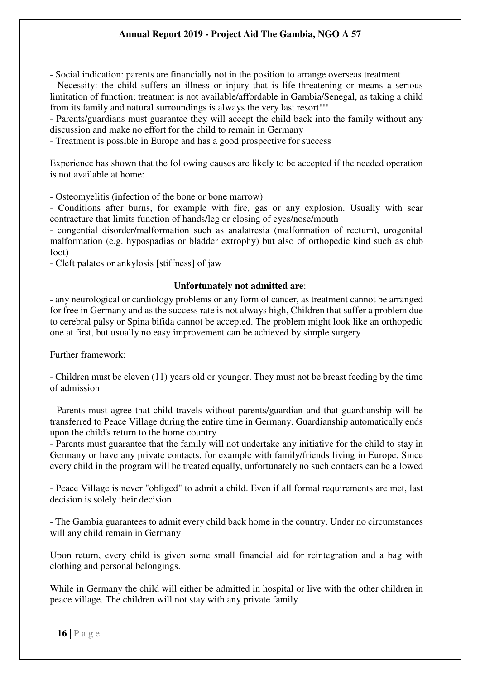- Social indication: parents are financially not in the position to arrange overseas treatment

- Necessity: the child suffers an illness or injury that is life-threatening or means a serious limitation of function; treatment is not available/affordable in Gambia/Senegal, as taking a child from its family and natural surroundings is always the very last resort!!!

- Parents/guardians must guarantee they will accept the child back into the family without any discussion and make no effort for the child to remain in Germany

- Treatment is possible in Europe and has a good prospective for success

Experience has shown that the following causes are likely to be accepted if the needed operation is not available at home:

- Osteomyelitis (infection of the bone or bone marrow)

- Conditions after burns, for example with fire, gas or any explosion. Usually with scar contracture that limits function of hands/leg or closing of eyes/nose/mouth

- congential disorder/malformation such as analatresia (malformation of rectum), urogenital malformation (e.g. hypospadias or bladder extrophy) but also of orthopedic kind such as club foot)

- Cleft palates or ankylosis [stiffness] of jaw

## **Unfortunately not admitted are**:

- any neurological or cardiology problems or any form of cancer, as treatment cannot be arranged for free in Germany and as the success rate is not always high, Children that suffer a problem due to cerebral palsy or Spina bifida cannot be accepted. The problem might look like an orthopedic one at first, but usually no easy improvement can be achieved by simple surgery

Further framework:

- Children must be eleven (11) years old or younger. They must not be breast feeding by the time of admission

- Parents must agree that child travels without parents/guardian and that guardianship will be transferred to Peace Village during the entire time in Germany. Guardianship automatically ends upon the child's return to the home country

- Parents must guarantee that the family will not undertake any initiative for the child to stay in Germany or have any private contacts, for example with family/friends living in Europe. Since every child in the program will be treated equally, unfortunately no such contacts can be allowed

- Peace Village is never "obliged" to admit a child. Even if all formal requirements are met, last decision is solely their decision

- The Gambia guarantees to admit every child back home in the country. Under no circumstances will any child remain in Germany

Upon return, every child is given some small financial aid for reintegration and a bag with clothing and personal belongings.

While in Germany the child will either be admitted in hospital or live with the other children in peace village. The children will not stay with any private family.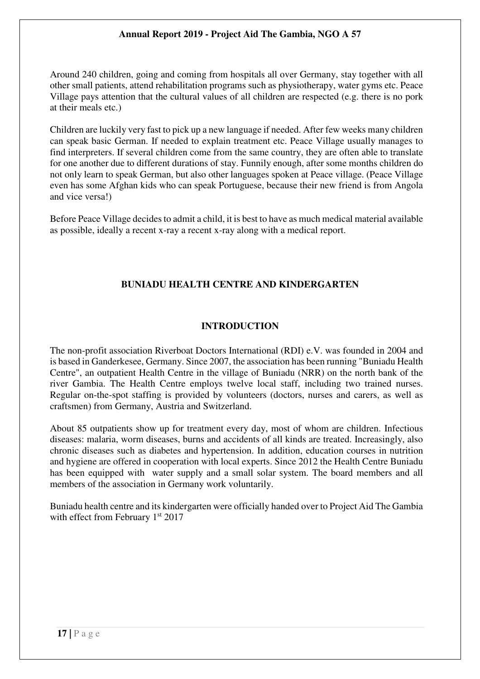Around 240 children, going and coming from hospitals all over Germany, stay together with all other small patients, attend rehabilitation programs such as physiotherapy, water gyms etc. Peace Village pays attention that the cultural values of all children are respected (e.g. there is no pork at their meals etc.)

Children are luckily very fast to pick up a new language if needed. After few weeks many children can speak basic German. If needed to explain treatment etc. Peace Village usually manages to find interpreters. If several children come from the same country, they are often able to translate for one another due to different durations of stay. Funnily enough, after some months children do not only learn to speak German, but also other languages spoken at Peace village. (Peace Village even has some Afghan kids who can speak Portuguese, because their new friend is from Angola and vice versa!)

Before Peace Village decides to admit a child, it is best to have as much medical material available as possible, ideally a recent x-ray a recent x-ray along with a medical report.

## **BUNIADU HEALTH CENTRE AND KINDERGARTEN**

### **INTRODUCTION**

The non-profit association Riverboat Doctors International (RDI) e.V. was founded in 2004 and is based in Ganderkesee, Germany. Since 2007, the association has been running "Buniadu Health Centre", an outpatient Health Centre in the village of Buniadu (NRR) on the north bank of the river Gambia. The Health Centre employs twelve local staff, including two trained nurses. Regular on-the-spot staffing is provided by volunteers (doctors, nurses and carers, as well as craftsmen) from Germany, Austria and Switzerland.

About 85 outpatients show up for treatment every day, most of whom are children. Infectious diseases: malaria, worm diseases, burns and accidents of all kinds are treated. Increasingly, also chronic diseases such as diabetes and hypertension. In addition, education courses in nutrition and hygiene are offered in cooperation with local experts. Since 2012 the Health Centre Buniadu has been equipped with water supply and a small solar system. The board members and all members of the association in Germany work voluntarily.

Buniadu health centre and its kindergarten were officially handed over to Project Aid The Gambia with effect from February 1<sup>st</sup> 2017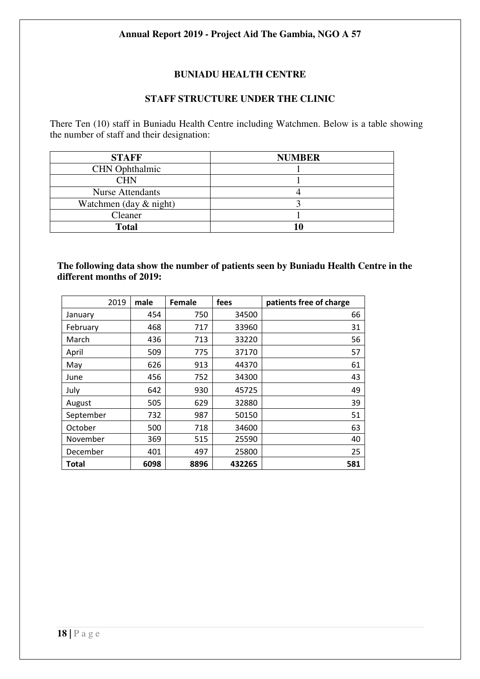## **BUNIADU HEALTH CENTRE**

## **STAFF STRUCTURE UNDER THE CLINIC**

There Ten (10) staff in Buniadu Health Centre including Watchmen. Below is a table showing the number of staff and their designation:

| <b>STAFF</b>              | <b>NUMBER</b> |
|---------------------------|---------------|
| <b>CHN</b> Ophthalmic     |               |
| <b>CHN</b>                |               |
| <b>Nurse Attendants</b>   |               |
| Watchmen (day $\&$ night) |               |
| Cleaner                   |               |
| <b>Total</b>              | 10            |

#### **The following data show the number of patients seen by Buniadu Health Centre in the different months of 2019:**

| 2019         | male | Female | fees   | patients free of charge |
|--------------|------|--------|--------|-------------------------|
| January      | 454  | 750    | 34500  | 66                      |
| February     | 468  | 717    | 33960  | 31                      |
| March        | 436  | 713    | 33220  | 56                      |
| April        | 509  | 775    | 37170  | 57                      |
| May          | 626  | 913    | 44370  | 61                      |
| June         | 456  | 752    | 34300  | 43                      |
| July         | 642  | 930    | 45725  | 49                      |
| August       | 505  | 629    | 32880  | 39                      |
| September    | 732  | 987    | 50150  | 51                      |
| October      | 500  | 718    | 34600  | 63                      |
| November     | 369  | 515    | 25590  | 40                      |
| December     | 401  | 497    | 25800  | 25                      |
| <b>Total</b> | 6098 | 8896   | 432265 | 581                     |